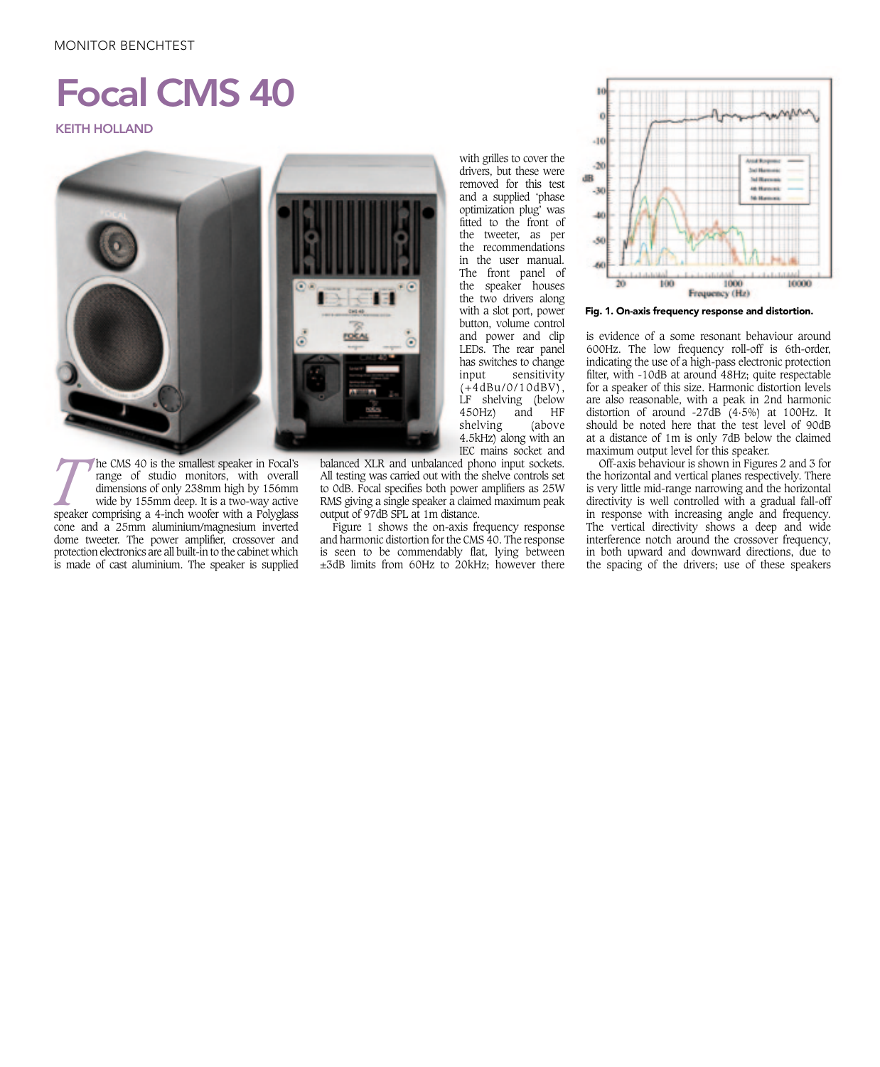## MONITOR BENCHTEST

## Focal CMS 40

KEITH HOLLAND



protection electronics are all built-in to the cabinet which **THE CMS 40 is the smallest speaker in Focal's**<br>
speaker of studio monitors, with overall<br>
dimensions of only 238mm high by 156mm<br>
wide by 155mm deep. It is a two-way active<br>
speaker comprising a 4-inch woofer with a Polyg range of studio monitors, with overall dimensions of only 238mm high by 156mm wide by 155mm deep. It is a two-way active cone and a 25mm aluminium/magnesium inverted dome tweeter. The power amplifier, crossover and is made of cast aluminium. The speaker is supplied

balanced XLR and unbalanced phono input sockets. All testing was carried out with the shelve controls set to 0dB. Focal specifies both power amplifiers as 25W RMS giving a single speaker a claimed maximum peak output of 97dB SPL at 1m distance.

Figure 1 shows the on-axis frequency response and harmonic distortion for the CMS 40. The response is seen to be commendably flat, lying between ±3dB limits from 60Hz to 20kHz; however there

with grilles to cover the drivers, but these were removed for this test and a supplied 'phase optimization plug' was fitted to the front of the tweeter, as per the recommendations in the user manual. The front panel of the speaker houses the two drivers along with a slot port, power button, volume control and power and clip LEDs. The rear panel has switches to change input sensitivity (+4dBu/0/10dBV), LF shelving (below<br>450Hz) and HF and HF<br>above shelving 4.5kHz) along with an IEC mains socket and



Fig. 1. On-axis frequency response and distortion.

is evidence of a some resonant behaviour around 600Hz. The low frequency roll-off is 6th-order, indicating the use of a high-pass electronic protection filter, with -10dB at around 48Hz; quite respectable for a speaker of this size. Harmonic distortion levels are also reasonable, with a peak in 2nd harmonic distortion of around  $-27\text{dB}$  (4.5%) at 100Hz. It should be noted here that the test level of 90dB at a distance of 1m is only 7dB below the claimed maximum output level for this speaker.

Off-axis behaviour is shown in Figures 2 and 3 for the horizontal and vertical planes respectively. There is very little mid-range narrowing and the horizontal directivity is well controlled with a gradual fall-off in response with increasing angle and frequency. The vertical directivity shows a deep and wide interference notch around the crossover frequency, in both upward and downward directions, due to the spacing of the drivers; use of these speakers